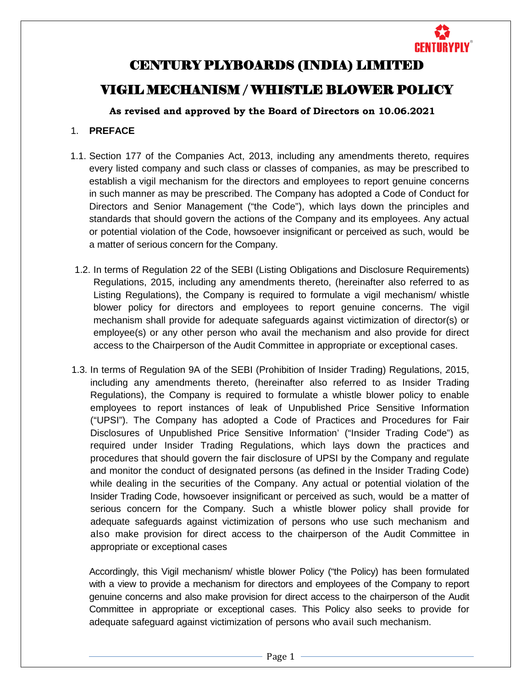# VIGIL MECHANISM / WHISTLE BLOWER POLICY

**As revised and approved by the Board of Directors on 10.06.2021**

## 1. **PREFACE**

- 1.1. Section 177 of the Companies Act, 2013, including any amendments thereto, requires every listed company and such class or classes of companies, as may be prescribed to establish a vigil mechanism for the directors and employees to report genuine concerns in such manner as may be prescribed. The Company has adopted a Code of Conduct for Directors and Senior Management ("the Code"), which lays down the principles and standards that should govern the actions of the Company and its employees. Any actual or potential violation of the Code, howsoever insignificant or perceived as such, would be a matter of serious concern for the Company.
- 1.2. In terms of Regulation 22 of the SEBI (Listing Obligations and Disclosure Requirements) Regulations, 2015, including any amendments thereto, (hereinafter also referred to as Listing Regulations), the Company is required to formulate a vigil mechanism/ whistle blower policy for directors and employees to report genuine concerns. The vigil mechanism shall provide for adequate safeguards against victimization of director(s) or employee(s) or any other person who avail the mechanism and also provide for direct access to the Chairperson of the Audit Committee in appropriate or exceptional cases.
- 1.3. In terms of Regulation 9A of the SEBI (Prohibition of Insider Trading) Regulations, 2015, including any amendments thereto, (hereinafter also referred to as Insider Trading Regulations), the Company is required to formulate a whistle blower policy to enable employees to report instances of leak of Unpublished Price Sensitive Information ("UPSI"). The Company has adopted a Code of Practices and Procedures for Fair Disclosures of Unpublished Price Sensitive Information' ("Insider Trading Code") as required under Insider Trading Regulations, which lays down the practices and procedures that should govern the fair disclosure of UPSI by the Company and regulate and monitor the conduct of designated persons (as defined in the Insider Trading Code) while dealing in the securities of the Company. Any actual or potential violation of the Insider Trading Code, howsoever insignificant or perceived as such, would be a matter of serious concern for the Company. Such a whistle blower policy shall provide for adequate safeguards against victimization of persons who use such mechanism and also make provision for direct access to the chairperson of the Audit Committee in appropriate or exceptional cases

Accordingly, this Vigil mechanism/ whistle blower Policy ("the Policy) has been formulated with a view to provide a mechanism for directors and employees of the Company to report genuine concerns and also make provision for direct access to the chairperson of the Audit Committee in appropriate or exceptional cases. This Policy also seeks to provide for adequate safeguard against victimization of persons who avail such mechanism.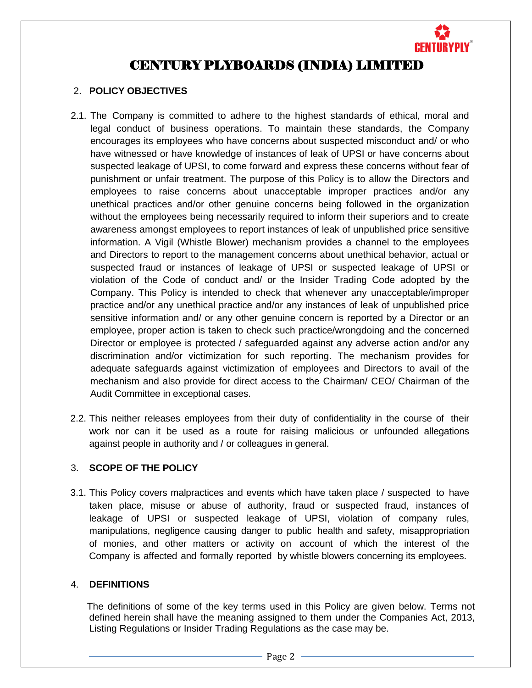

# 2. **POLICY OBJECTIVES**

- 2.1. The Company is committed to adhere to the highest standards of ethical, moral and legal conduct of business operations. To maintain these standards, the Company encourages its employees who have concerns about suspected misconduct and/ or who have witnessed or have knowledge of instances of leak of UPSI or have concerns about suspected leakage of UPSI, to come forward and express these concerns without fear of punishment or unfair treatment. The purpose of this Policy is to allow the Directors and employees to raise concerns about unacceptable improper practices and/or any unethical practices and/or other genuine concerns being followed in the organization without the employees being necessarily required to inform their superiors and to create awareness amongst employees to report instances of leak of unpublished price sensitive information. A Vigil (Whistle Blower) mechanism provides a channel to the employees and Directors to report to the management concerns about unethical behavior, actual or suspected fraud or instances of leakage of UPSI or suspected leakage of UPSI or violation of the Code of conduct and/ or the Insider Trading Code adopted by the Company. This Policy is intended to check that whenever any unacceptable/improper practice and/or any unethical practice and/or any instances of leak of unpublished price sensitive information and/ or any other genuine concern is reported by a Director or an employee, proper action is taken to check such practice/wrongdoing and the concerned Director or employee is protected / safeguarded against any adverse action and/or any discrimination and/or victimization for such reporting. The mechanism provides for adequate safeguards against victimization of employees and Directors to avail of the mechanism and also provide for direct access to the Chairman/ CEO/ Chairman of the Audit Committee in exceptional cases.
- 2.2. This neither releases employees from their duty of confidentiality in the course of their work nor can it be used as a route for raising malicious or unfounded allegations against people in authority and / or colleagues in general.

# 3. **SCOPE OF THE POLICY**

3.1. This Policy covers malpractices and events which have taken place / suspected to have taken place, misuse or abuse of authority, fraud or suspected fraud, instances of leakage of UPSI or suspected leakage of UPSI, violation of company rules, manipulations, negligence causing danger to public health and safety, misappropriation of monies, and other matters or activity on account of which the interest of the Company is affected and formally reported by whistle blowers concerning its employees.

## 4. **DEFINITIONS**

The definitions of some of the key terms used in this Policy are given below. Terms not defined herein shall have the meaning assigned to them under the Companies Act, 2013, Listing Regulations or Insider Trading Regulations as the case may be.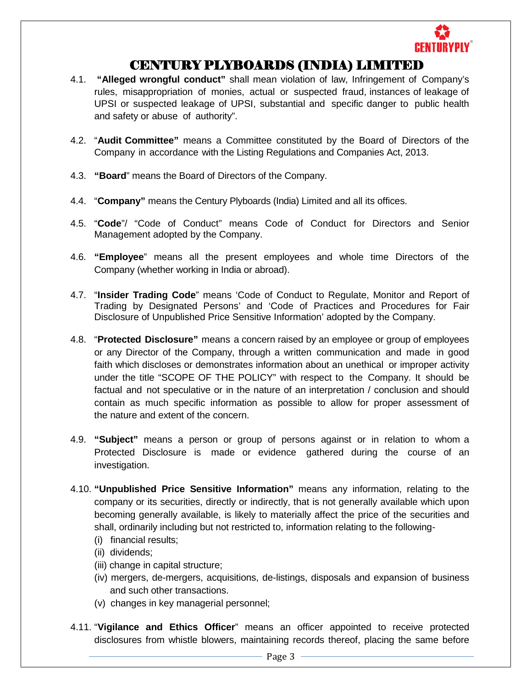

- 4.1. **"Alleged wrongful conduct"** shall mean violation of law, Infringement of Company's rules, misappropriation of monies, actual or suspected fraud, instances of leakage of UPSI or suspected leakage of UPSI, substantial and specific danger to public health and safety or abuse of authority".
- 4.2. "**Audit Committee"** means a Committee constituted by the Board of Directors of the Company in accordance with the Listing Regulations and Companies Act, 2013.
- 4.3. **"Board**" means the Board of Directors of the Company.
- 4.4. "**Company"** means the Century Plyboards (India) Limited and all its offices.
- 4.5. "**Code**"/ "Code of Conduct" means Code of Conduct for Directors and Senior Management adopted by the Company.
- 4.6. **"Employee**" means all the present employees and whole time Directors of the Company (whether working in India or abroad).
- 4.7. "**Insider Trading Code**" means 'Code of Conduct to Regulate, Monitor and Report of Trading by Designated Persons' and 'Code of Practices and Procedures for Fair Disclosure of Unpublished Price Sensitive Information' adopted by the Company.
- 4.8. "**Protected Disclosure"** means a concern raised by an employee or group of employees or any Director of the Company, through a written communication and made in good faith which discloses or demonstrates information about an unethical or improper activity under the title "SCOPE OF THE POLICY" with respect to the Company. It should be factual and not speculative or in the nature of an interpretation / conclusion and should contain as much specific information as possible to allow for proper assessment of the nature and extent of the concern.
- 4.9. **"Subject"** means a person or group of persons against or in relation to whom a Protected Disclosure is made or evidence gathered during the course of an investigation.
- 4.10. **"Unpublished Price Sensitive Information"** means any information, relating to the company or its securities, directly or indirectly, that is not generally available which upon becoming generally available, is likely to materially affect the price of the securities and shall, ordinarily including but not restricted to, information relating to the following-
	- (i) financial results;
	- (ii) dividends;
	- (iii) change in capital structure;
	- (iv) mergers, de-mergers, acquisitions, de-listings, disposals and expansion of business and such other transactions.
	- (v) changes in key managerial personnel;
- 4.11. "**Vigilance and Ethics Officer**" means an officer appointed to receive protected disclosures from whistle blowers, maintaining records thereof, placing the same before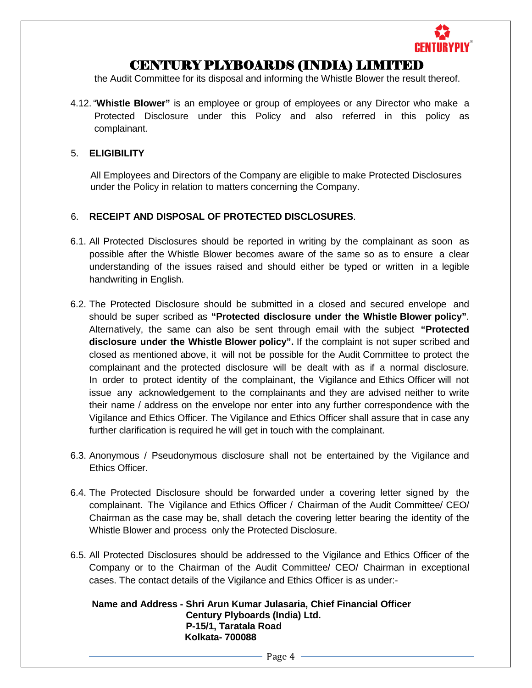

the Audit Committee for its disposal and informing the Whistle Blower the result thereof.

4.12. "**Whistle Blower"** is an employee or group of employees or any Director who make a Protected Disclosure under this Policy and also referred in this policy as complainant.

## 5. **ELIGIBILITY**

All Employees and Directors of the Company are eligible to make Protected Disclosures under the Policy in relation to matters concerning the Company.

## 6. **RECEIPT AND DISPOSAL OF PROTECTED DISCLOSURES**.

- 6.1. All Protected Disclosures should be reported in writing by the complainant as soon as possible after the Whistle Blower becomes aware of the same so as to ensure a clear understanding of the issues raised and should either be typed or written in a legible handwriting in English.
- 6.2. The Protected Disclosure should be submitted in a closed and secured envelope and should be super scribed as **"Protected disclosure under the Whistle Blower policy"**. Alternatively, the same can also be sent through email with the subject **"Protected disclosure under the Whistle Blower policy".** If the complaint is not super scribed and closed as mentioned above, it will not be possible for the Audit Committee to protect the complainant and the protected disclosure will be dealt with as if a normal disclosure. In order to protect identity of the complainant, the Vigilance and Ethics Officer will not issue any acknowledgement to the complainants and they are advised neither to write their name / address on the envelope nor enter into any further correspondence with the Vigilance and Ethics Officer. The Vigilance and Ethics Officer shall assure that in case any further clarification is required he will get in touch with the complainant.
- 6.3. Anonymous / Pseudonymous disclosure shall not be entertained by the Vigilance and Ethics Officer.
- 6.4. The Protected Disclosure should be forwarded under a covering letter signed by the complainant. The Vigilance and Ethics Officer / Chairman of the Audit Committee/ CEO/ Chairman as the case may be, shall detach the covering letter bearing the identity of the Whistle Blower and process only the Protected Disclosure.
- 6.5. All Protected Disclosures should be addressed to the Vigilance and Ethics Officer of the Company or to the Chairman of the Audit Committee/ CEO/ Chairman in exceptional cases. The contact details of the Vigilance and Ethics Officer is as under:-

#### **Name and Address - Shri Arun Kumar Julasaria, Chief Financial Officer Century Plyboards (India) Ltd. P-15/1, Taratala Road Kolkata- 700088**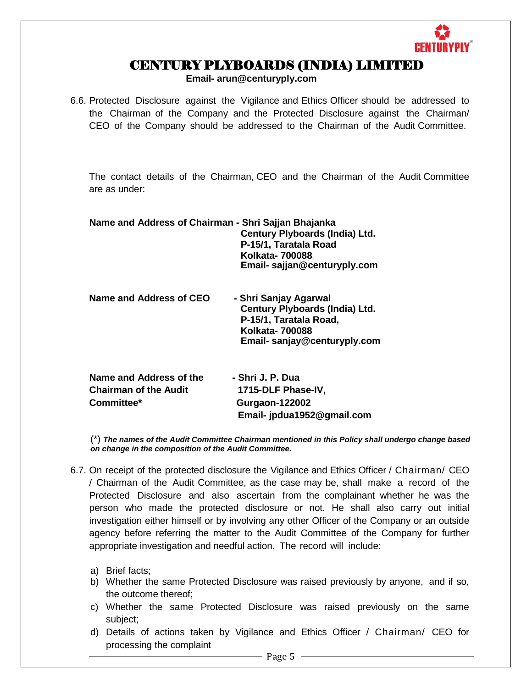

 **Email- arun@centuryply.com**

6.6. Protected Disclosure against the Vigilance and Ethics Officer should be addressed to the Chairman of the Company and the Protected Disclosure against the Chairman/ CEO of the Company should be addressed to the Chairman of the Audit Committee.

The contact details of the Chairman, CEO and the Chairman of the Audit Committee are as under:

| Name and Address of Chairman - Shri Sajjan Bhajanka                   | Century Plyboards (India) Ltd.<br>P-15/1, Taratala Road<br>Kolkata- 700088<br>Email- sajjan@centuryply.com                           |
|-----------------------------------------------------------------------|--------------------------------------------------------------------------------------------------------------------------------------|
| Name and Address of CEO                                               | - Shri Sanjay Agarwal<br>Century Plyboards (India) Ltd.<br>P-15/1, Taratala Road,<br>Kolkata- 700088<br>Email- sanjay@centuryply.com |
| Name and Address of the<br><b>Chairman of the Audit</b><br>Committee* | - Shri J. P. Dua<br>1715-DLF Phase-IV,<br><b>Gurgaon-122002</b><br>Email- jpdua1952@gmail.com                                        |

(\*) *The names of the Audit Committee Chairman mentioned in this Policy shall undergo change based on change in the composition of the Audit Committee.* 

- 6.7. On receipt of the protected disclosure the Vigilance and Ethics Officer / Chairman/ CEO / Chairman of the Audit Committee, as the case may be, shall make a record of the Protected Disclosure and also ascertain from the complainant whether he was the person who made the protected disclosure or not. He shall also carry out initial investigation either himself or by involving any other Officer of the Company or an outside agency before referring the matter to the Audit Committee of the Company for further appropriate investigation and needful action. The record will include:
	- a) Brief facts;
	- b) Whether the same Protected Disclosure was raised previously by anyone, and if so, the outcome thereof;
	- c) Whether the same Protected Disclosure was raised previously on the same subject;
	- d) Details of actions taken by Vigilance and Ethics Officer / Chairman/ CEO for processing the complaint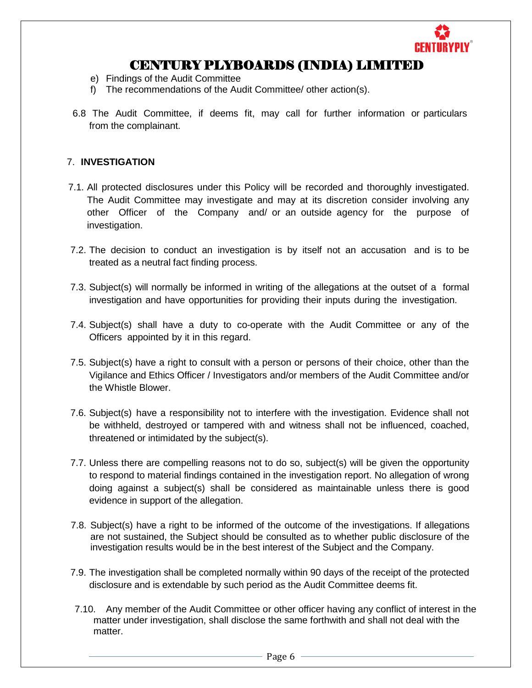

- e) Findings of the Audit Committee
- f) The recommendations of the Audit Committee/ other action(s).
- 6.8 The Audit Committee, if deems fit, may call for further information or particulars from the complainant.

## 7. **INVESTIGATION**

- 7.1. All protected disclosures under this Policy will be recorded and thoroughly investigated. The Audit Committee may investigate and may at its discretion consider involving any other Officer of the Company and/ or an outside agency for the purpose of investigation.
- 7.2. The decision to conduct an investigation is by itself not an accusation and is to be treated as a neutral fact finding process.
- 7.3. Subject(s) will normally be informed in writing of the allegations at the outset of a formal investigation and have opportunities for providing their inputs during the investigation.
- 7.4. Subject(s) shall have a duty to co-operate with the Audit Committee or any of the Officers appointed by it in this regard.
- 7.5. Subject(s) have a right to consult with a person or persons of their choice, other than the Vigilance and Ethics Officer / Investigators and/or members of the Audit Committee and/or the Whistle Blower.
- 7.6. Subject(s) have a responsibility not to interfere with the investigation. Evidence shall not be withheld, destroyed or tampered with and witness shall not be influenced, coached, threatened or intimidated by the subject(s).
- 7.7. Unless there are compelling reasons not to do so, subject(s) will be given the opportunity to respond to material findings contained in the investigation report. No allegation of wrong doing against a subject(s) shall be considered as maintainable unless there is good evidence in support of the allegation.
- 7.8. Subject(s) have a right to be informed of the outcome of the investigations. If allegations are not sustained, the Subject should be consulted as to whether public disclosure of the investigation results would be in the best interest of the Subject and the Company.
- 7.9. The investigation shall be completed normally within 90 days of the receipt of the protected disclosure and is extendable by such period as the Audit Committee deems fit.
- 7.10. Any member of the Audit Committee or other officer having any conflict of interest in the matter under investigation, shall disclose the same forthwith and shall not deal with the matter.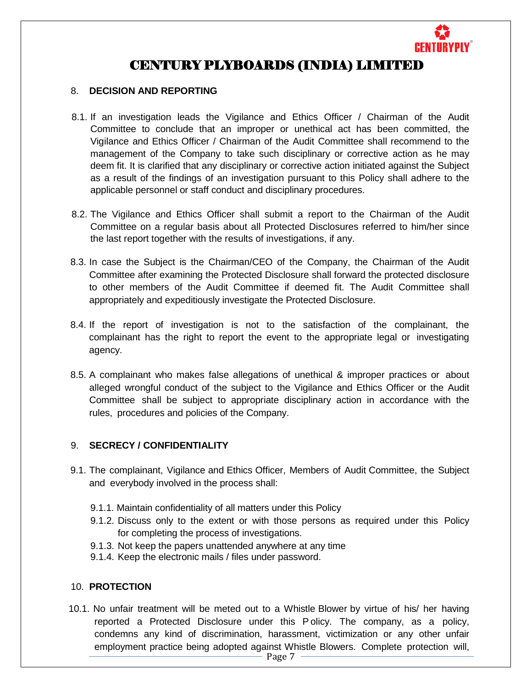

## 8. **DECISION AND REPORTING**

- 8.1. If an investigation leads the Vigilance and Ethics Officer / Chairman of the Audit Committee to conclude that an improper or unethical act has been committed, the Vigilance and Ethics Officer / Chairman of the Audit Committee shall recommend to the management of the Company to take such disciplinary or corrective action as he may deem fit. It is clarified that any disciplinary or corrective action initiated against the Subject as a result of the findings of an investigation pursuant to this Policy shall adhere to the applicable personnel or staff conduct and disciplinary procedures.
- 8.2. The Vigilance and Ethics Officer shall submit a report to the Chairman of the Audit Committee on a regular basis about all Protected Disclosures referred to him/her since the last report together with the results of investigations, if any.
- 8.3. In case the Subject is the Chairman/CEO of the Company, the Chairman of the Audit Committee after examining the Protected Disclosure shall forward the protected disclosure to other members of the Audit Committee if deemed fit. The Audit Committee shall appropriately and expeditiously investigate the Protected Disclosure.
- 8.4. If the report of investigation is not to the satisfaction of the complainant, the complainant has the right to report the event to the appropriate legal or investigating agency.
- 8.5. A complainant who makes false allegations of unethical & improper practices or about alleged wrongful conduct of the subject to the Vigilance and Ethics Officer or the Audit Committee shall be subject to appropriate disciplinary action in accordance with the rules, procedures and policies of the Company.

## 9. **SECRECY / CONFIDENTIALITY**

- 9.1. The complainant, Vigilance and Ethics Officer, Members of Audit Committee, the Subject and everybody involved in the process shall:
	- 9.1.1. Maintain confidentiality of all matters under this Policy
	- 9.1.2. Discuss only to the extent or with those persons as required under this Policy for completing the process of investigations.
	- 9.1.3. Not keep the papers unattended anywhere at any time
	- 9.1.4. Keep the electronic mails / files under password.

#### 10. **PROTECTION**

10.1. No unfair treatment will be meted out to a Whistle Blower by virtue of his/ her having reported a Protected Disclosure under this P olicy. The company, as a policy, condemns any kind of discrimination, harassment, victimization or any other unfair employment practice being adopted against Whistle Blowers. Complete protection will,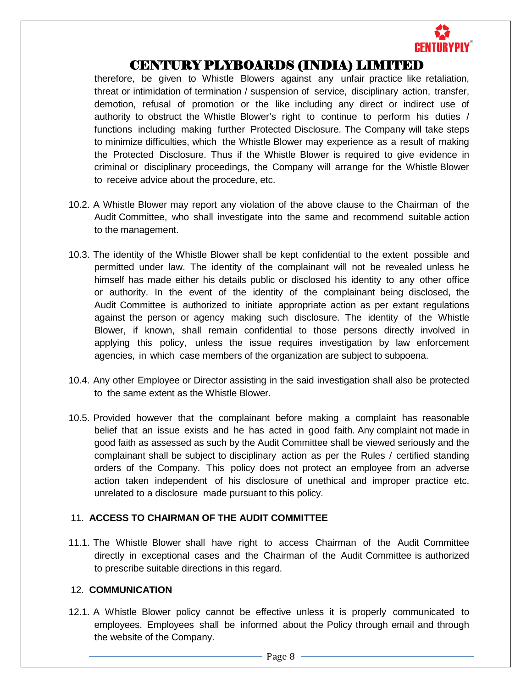

therefore, be given to Whistle Blowers against any unfair practice like retaliation, threat or intimidation of termination / suspension of service, disciplinary action, transfer, demotion, refusal of promotion or the like including any direct or indirect use of authority to obstruct the Whistle Blower's right to continue to perform his duties / functions including making further Protected Disclosure. The Company will take steps to minimize difficulties, which the Whistle Blower may experience as a result of making the Protected Disclosure. Thus if the Whistle Blower is required to give evidence in criminal or disciplinary proceedings, the Company will arrange for the Whistle Blower to receive advice about the procedure, etc.

- 10.2. A Whistle Blower may report any violation of the above clause to the Chairman of the Audit Committee, who shall investigate into the same and recommend suitable action to the management.
- 10.3. The identity of the Whistle Blower shall be kept confidential to the extent possible and permitted under law. The identity of the complainant will not be revealed unless he himself has made either his details public or disclosed his identity to any other office or authority. In the event of the identity of the complainant being disclosed, the Audit Committee is authorized to initiate appropriate action as per extant regulations against the person or agency making such disclosure. The identity of the Whistle Blower, if known, shall remain confidential to those persons directly involved in applying this policy, unless the issue requires investigation by law enforcement agencies, in which case members of the organization are subject to subpoena.
- 10.4. Any other Employee or Director assisting in the said investigation shall also be protected to the same extent as the Whistle Blower.
- 10.5. Provided however that the complainant before making a complaint has reasonable belief that an issue exists and he has acted in good faith. Any complaint not made in good faith as assessed as such by the Audit Committee shall be viewed seriously and the complainant shall be subject to disciplinary action as per the Rules / certified standing orders of the Company. This policy does not protect an employee from an adverse action taken independent of his disclosure of unethical and improper practice etc. unrelated to a disclosure made pursuant to this policy.

## 11. **ACCESS TO CHAIRMAN OF THE AUDIT COMMITTEE**

11.1. The Whistle Blower shall have right to access Chairman of the Audit Committee directly in exceptional cases and the Chairman of the Audit Committee is authorized to prescribe suitable directions in this regard.

## 12. **COMMUNICATION**

12.1. A Whistle Blower policy cannot be effective unless it is properly communicated to employees. Employees shall be informed about the Policy through email and through the website of the Company.